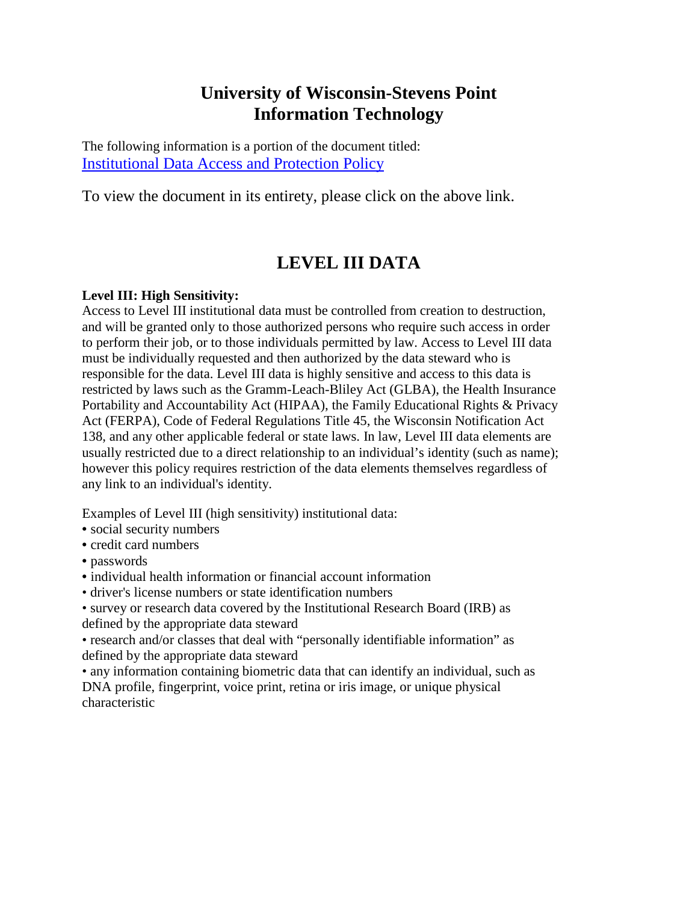## **University of Wisconsin-Stevens Point Information Technology**

The following information is a portion of the document titled: [Institutional Data Access and Protection Policy](http://www.uwsp.edu/infotech/Documents/IT_Policy_-_Institutional_Data_Access_and_Protection.pdf)

To view the document in its entirety, please click on the above link.

## **LEVEL III DATA**

## **Level III: High Sensitivity:**

Access to Level III institutional data must be controlled from creation to destruction, and will be granted only to those authorized persons who require such access in order to perform their job, or to those individuals permitted by law. Access to Level III data must be individually requested and then authorized by the data steward who is responsible for the data. Level III data is highly sensitive and access to this data is restricted by laws such as the Gramm-Leach-Bliley Act (GLBA), the Health Insurance Portability and Accountability Act (HIPAA), the Family Educational Rights & Privacy Act (FERPA), Code of Federal Regulations Title 45, the Wisconsin Notification Act 138, and any other applicable federal or state laws. In law, Level III data elements are usually restricted due to a direct relationship to an individual's identity (such as name); however this policy requires restriction of the data elements themselves regardless of any link to an individual's identity.

Examples of Level III (high sensitivity) institutional data:

- social security numbers
- credit card numbers
- passwords
- individual health information or financial account information
- driver's license numbers or state identification numbers
- survey or research data covered by the Institutional Research Board (IRB) as defined by the appropriate data steward

• research and/or classes that deal with "personally identifiable information" as defined by the appropriate data steward

• any information containing biometric data that can identify an individual, such as DNA profile, fingerprint, voice print, retina or iris image, or unique physical characteristic